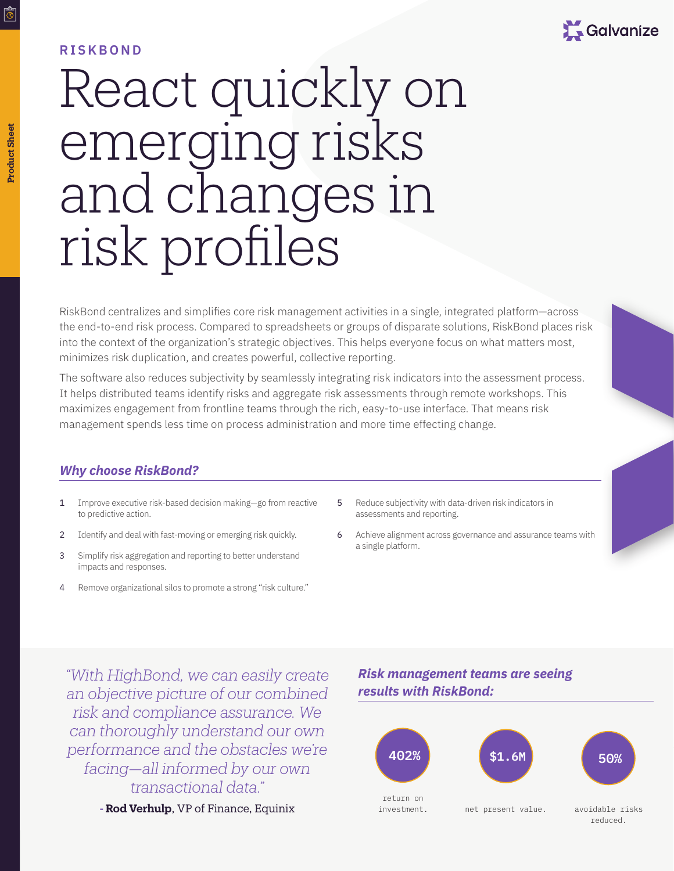

## **RISKBOND**

# React quickly on emerging risks and changes in risk profiles

RiskBond centralizes and simplifies core risk management activities in a single, integrated platform—across the end-to-end risk process. Compared to spreadsheets or groups of disparate solutions, RiskBond places risk into the context of the organization's strategic objectives. This helps everyone focus on what matters most, minimizes risk duplication, and creates powerful, collective reporting.

The software also reduces subjectivity by seamlessly integrating risk indicators into the assessment process. It helps distributed teams identify risks and aggregate risk assessments through remote workshops. This maximizes engagement from frontline teams through the rich, easy-to-use interface. That means risk management spends less time on process administration and more time effecting change.

## *Why choose RiskBond?*

- 1 Improve executive risk-based decision making—go from reactive to predictive action.
- 2 Identify and deal with fast-moving or emerging risk quickly.
- 3 Simplify risk aggregation and reporting to better understand impacts and responses.
- 4 Remove organizational silos to promote a strong "risk culture."
- 5 Reduce subjectivity with data-driven risk indicators in assessments and reporting.
- 6 Achieve alignment across governance and assurance teams with a single platform.

*"With HighBond, we can easily create an objective picture of our combined risk and compliance assurance. We can thoroughly understand our own performance and the obstacles we're facing—all informed by our own transactional data."*

**- Rod Verhulp**, VP of Finance, Equinix

## *Risk management teams are seeing results with RiskBond:*